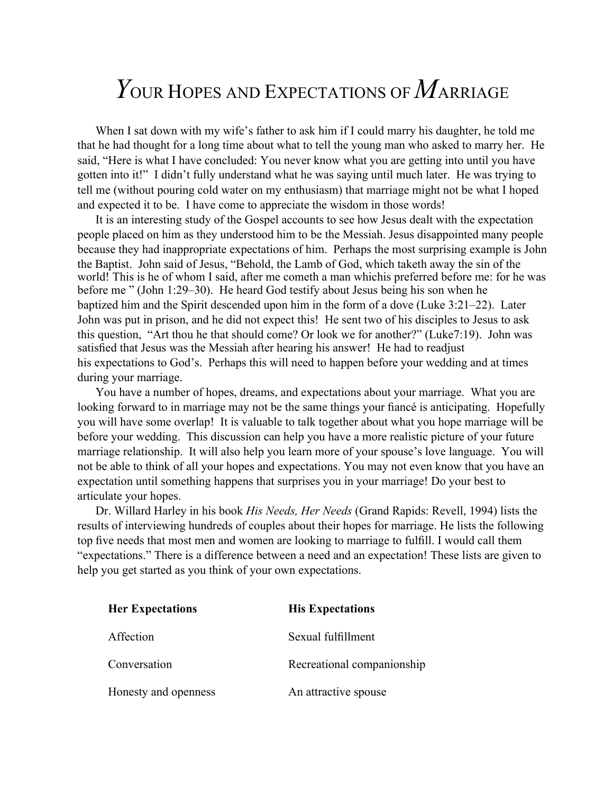## *Y*OUR HOPES AND EXPECTATIONS OF*M*ARRIAGE

When I sat down with my wife's father to ask him if I could marry his daughter, he told me that he had thought for a long time about what to tell the young man who asked to marry her. He said, "Here is what I have concluded: You never know what you are getting into until you have gotten into it!" I didn't fully understand what he was saying until much later. He was trying to tell me (without pouring cold water on my enthusiasm) that marriage might not be what I hoped and expected it to be. I have come to appreciate the wisdom in those words!

It is an interesting study of the Gospel accounts to see how Jesus dealt with the expectation people placed on him as they understood him to be the Messiah. Jesus disappointed many people because they had inappropriate expectations of him. Perhaps the most surprising example is John the Baptist. John said of Jesus, "Behold, the Lamb of God, which taketh away the sin of the world! This is he of whom I said, after me cometh a man whichis preferred before me: for he was before me " (John 1:29–30). He heard God testify about Jesus being his son when he baptized him and the Spirit descended upon him in the form of a dove (Luke 3:21–22). Later John was put in prison, and he did not expect this! He sent two of his disciples to Jesus to ask this question, "Art thou he that should come? Or look we for another?" (Luke7:19). John was satisfied that Jesus was the Messiah after hearing his answer! He had to readjust his expectations to God's. Perhaps this will need to happen before your wedding and at times during your marriage.

You have a number of hopes, dreams, and expectations about your marriage. What you are looking forward to in marriage may not be the same things your fiancé is anticipating. Hopefully you will have some overlap! It is valuable to talk together about what you hope marriage will be before your wedding. This discussion can help you have a more realistic picture of your future marriage relationship. It will also help you learn more of your spouse's love language. You will not be able to think of all your hopes and expectations. You may not even know that you have an expectation until something happens that surprises you in your marriage! Do your best to articulate your hopes.

Dr. Willard Harley in his book *His Needs, Her Needs* (Grand Rapids: Revell, 1994) lists the results of interviewing hundreds of couples about their hopes for marriage. He lists the following top five needs that most men and women are looking to marriage to fulfill. I would call them "expectations." There is a difference between a need and an expectation! These lists are given to help you get started as you think of your own expectations.

| <b>Her Expectations</b> | <b>His Expectations</b>    |
|-------------------------|----------------------------|
| Affection               | Sexual fulfillment         |
| Conversation            | Recreational companionship |
| Honesty and openness    | An attractive spouse       |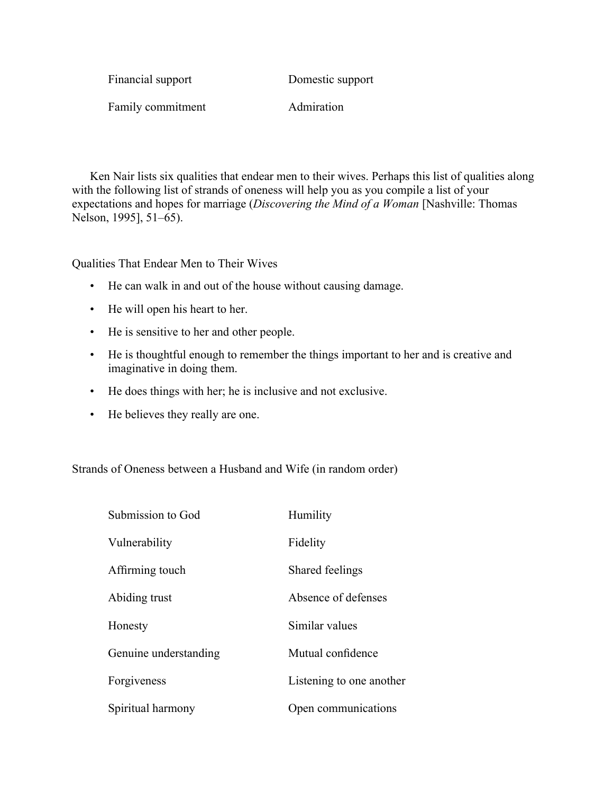| Financial support | Domestic support |
|-------------------|------------------|
| Family commitment | Admiration       |

Ken Nair lists six qualities that endear men to their wives. Perhaps this list of qualities along with the following list of strands of oneness will help you as you compile a list of your expectations and hopes for marriage (*Discovering the Mind of a Woman* [Nashville: Thomas Nelson, 1995], 51–65).

Qualities That Endear Men to Their Wives

- He can walk in and out of the house without causing damage.
- He will open his heart to her.
- He is sensitive to her and other people.
- He is thoughtful enough to remember the things important to her and is creative and imaginative in doing them.
- He does things with her; he is inclusive and not exclusive.
- He believes they really are one.

Strands of Oneness between a Husband and Wife (in random order)

| Submission to God     | Humility                 |
|-----------------------|--------------------------|
| Vulnerability         | Fidelity                 |
| Affirming touch       | Shared feelings          |
| Abiding trust         | Absence of defenses      |
| Honesty               | Similar values           |
| Genuine understanding | Mutual confidence        |
| Forgiveness           | Listening to one another |
| Spiritual harmony     | Open communications      |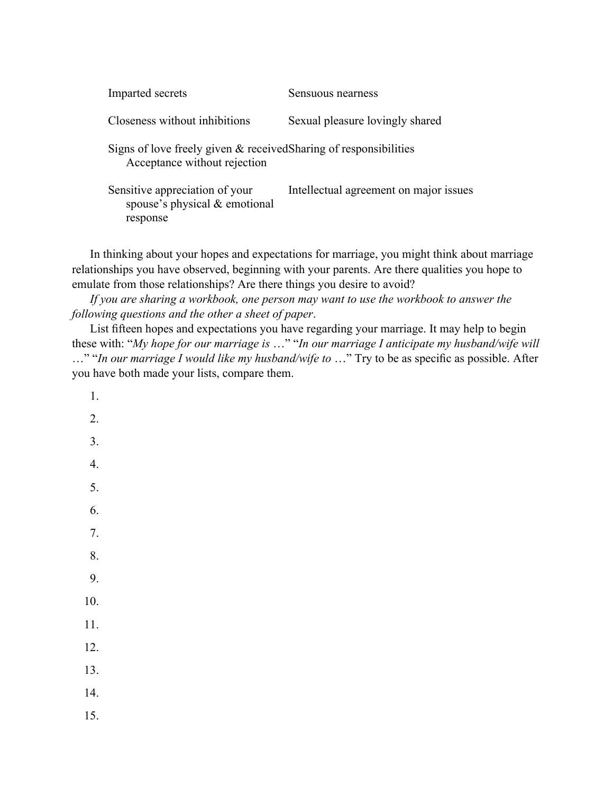| Imparted secrets                                                                                  | Sensuous nearness                      |
|---------------------------------------------------------------------------------------------------|----------------------------------------|
| Closeness without inhibitions                                                                     | Sexual pleasure lovingly shared        |
| Signs of love freely given & received Sharing of responsibilities<br>Acceptance without rejection |                                        |
| Sensitive appreciation of your<br>spouse's physical & emotional<br>response                       | Intellectual agreement on major issues |

In thinking about your hopes and expectations for marriage, you might think about marriage relationships you have observed, beginning with your parents. Are there qualities you hope to emulate from those relationships? Are there things you desire to avoid?

*If you are sharing a workbook, one person may want to use the workbook to answer the following questions and the other a sheet of paper*.

List fifteen hopes and expectations you have regarding your marriage. It may help to begin these with: "*My hope for our marriage is* …" "*In our marriage I anticipate my husband/wife will* …" "*In our marriage I would like my husband/wife to* …" Try to be as specific as possible. After you have both made your lists, compare them.

- 1.
- 2.
- 3.
- 4.
- 5.
- 
- 6.
- 7.

8.

- 9.
- 10.
- 11.
- 12.
- 13.
- 14.
- 15.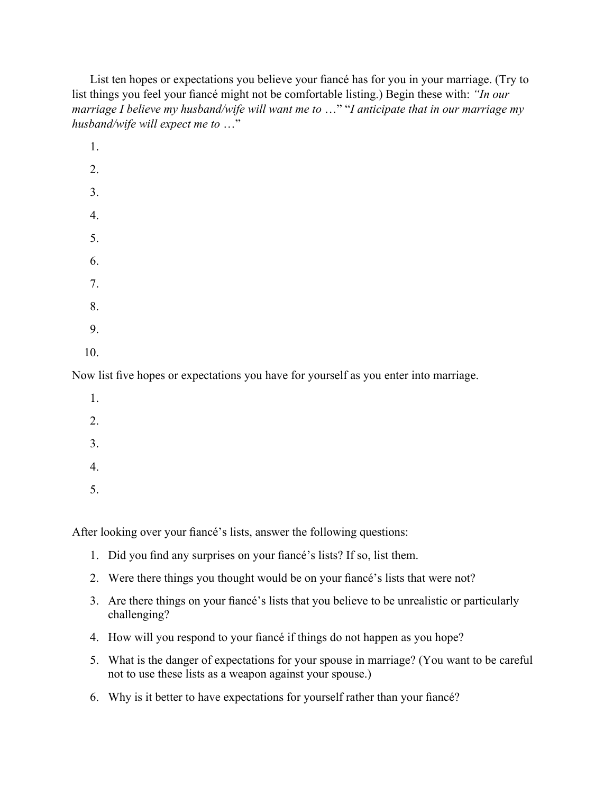List ten hopes or expectations you believe your fiancé has for you in your marriage. (Try to list things you feel your fiancé might not be comfortable listing.) Begin these with: *"In our marriage I believe my husband/wife will want me to* …" "*I anticipate that in our marriage my husband/wife will expect me to* …"

1. 2. 3. 4. 5. 6. 7. 8. 9. 10.

Now list five hopes or expectations you have for yourself as you enter into marriage.

- 1. 2. 3. 4.
- 5.

After looking over your fiancé's lists, answer the following questions:

- 1. Did you find any surprises on your fiancé's lists? If so, list them.
- 2. Were there things you thought would be on your fiancé's lists that were not?
- 3. Are there things on your fiancé's lists that you believe to be unrealistic or particularly challenging?
- 4. How will you respond to your fiancé if things do not happen as you hope?
- 5. What is the danger of expectations for your spouse in marriage? (You want to be careful not to use these lists as a weapon against your spouse.)
- 6. Why is it better to have expectations for yourself rather than your fiancé?